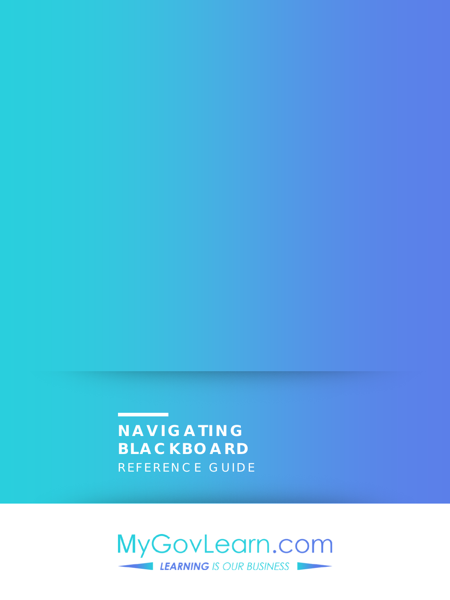**NAVIGATING BLACKBOARD**  REFERENCE GUIDE

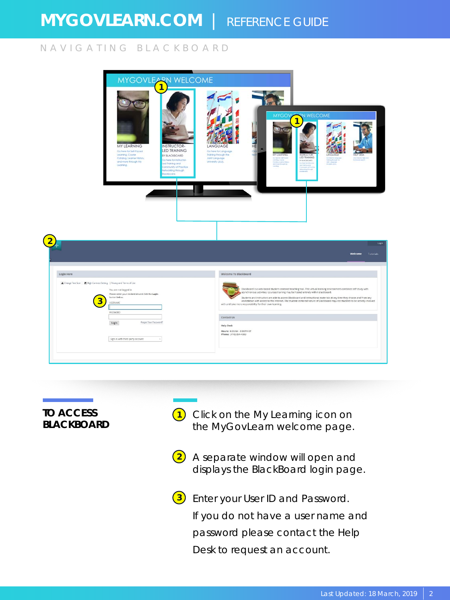#### NAVIGATING BLACKBOARD

|                                                                                                                                                                                                                      | MYGOVLEARN WELCOME                                                                                                                                                 |                                                                                                 |                                                                                                                                                  |                                                                                                     |                                                                                                                                                                                                                                                                                                                                                                                 |
|----------------------------------------------------------------------------------------------------------------------------------------------------------------------------------------------------------------------|--------------------------------------------------------------------------------------------------------------------------------------------------------------------|-------------------------------------------------------------------------------------------------|--------------------------------------------------------------------------------------------------------------------------------------------------|-----------------------------------------------------------------------------------------------------|---------------------------------------------------------------------------------------------------------------------------------------------------------------------------------------------------------------------------------------------------------------------------------------------------------------------------------------------------------------------------------|
| MY LEARNING<br>Go here for Self-Paced<br>Leoning, Courie<br>Catalog, Learner Hiltory,<br>and more through My<br>Leaning.                                                                                             | INSTRUCTOR-<br><b>LED TRAINING</b><br>BY BLACKBOARD<br>So here for instructor-<br>brio grimbil be<br>community of Practice<br><b>Novort printer</b><br>spons.<br>┯ | LANGUAGE<br>Go here for Language<br>Training through the<br>Joint Language<br>University (JAV). | <b>MYGOVIA</b><br>HE                                                                                                                             | <b>NN WELCOME</b><br>$\overline{1}$<br>LED TRAINING<br><b>ITAACEDARS</b><br><b>Don't be tricked</b> |                                                                                                                                                                                                                                                                                                                                                                                 |
|                                                                                                                                                                                                                      |                                                                                                                                                                    |                                                                                                 |                                                                                                                                                  |                                                                                                     | Tutorials<br>Welcome                                                                                                                                                                                                                                                                                                                                                            |
| Login Here<br>A Change Text Size   C High Contrast Setting   Privacy and Terms of Use<br>You are not logged in<br>Please enter your credentials and click the Login<br>button below.<br><b>LISERNAME</b><br>PASSWORD |                                                                                                                                                                    | Welcome To Blackboard<br>Contact Us                                                             | asynchronous activities. Courses/training may be hosted entirely within Blackboard.<br>with and take more responsibility for their own learning. |                                                                                                     | Blackboard is a web-based student-centered teaching tool. This virtual learning environment combines self-study with<br>Students and instructors are able to access Blackboard and instructional materials at any time they choose and from any<br>workstation with access to the internet. The student-centered nature of Blackboard requires students to be actively involved |

**TO ACCESS BLACKBOARD** 

**1** Click on the My Learning icon on the MyGovLearn welcome page.

**2** A separate window will open and displays the BlackBoard login page.

**3** Enter your User ID and Password. If you do not have a user name and password please contact the Help Desk to request an account.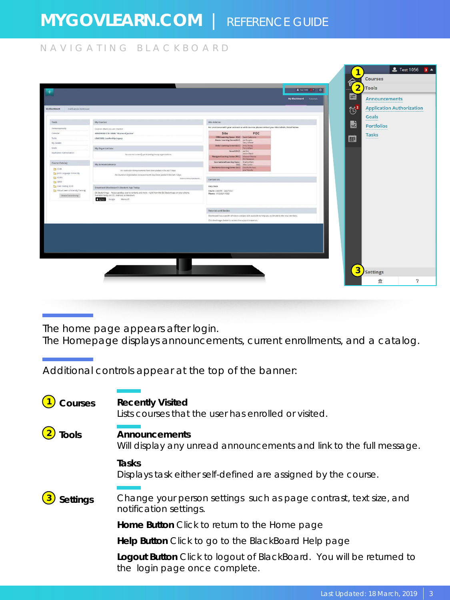#### NAVIGATING BLACKBOARD

| Tools<br>My Courses<br>Amouncements<br>Courses where you are: Student<br>Calendar<br>4058D91381C15-10000; "Shares of Justice"<br>Tasks<br>LEAD2002: Leadership Legacy<br>My Cirades<br>Goals<br>My Organizations<br>Application Authorization<br>Course Catalog<br>My Announcements<br><b>CO</b> CHIN<br>The Joint Language University<br><b>CIT KORN</b><br><b>Call OPSE</b><br>Cal USér Testing 2019<br>Download Blackboard's Student App Today<br>Virtual Learn University Training |                                                                                                                                                  | Site Admins<br>For assistance with your account or with courses please contact your Site Admin, listed below.<br>Site<br>POC<br><b>FANX Learning Center (FLC)</b> Doved Calderons<br>Alaska Learning Center(ALC)   Jon Burgess<br>Gary Calibber | Goals<br><b>K</b><br><b>Portfolios</b><br><b>Tasks</b><br>圖 |
|----------------------------------------------------------------------------------------------------------------------------------------------------------------------------------------------------------------------------------------------------------------------------------------------------------------------------------------------------------------------------------------------------------------------------------------------------------------------------------------|--------------------------------------------------------------------------------------------------------------------------------------------------|-------------------------------------------------------------------------------------------------------------------------------------------------------------------------------------------------------------------------------------------------|-------------------------------------------------------------|
|                                                                                                                                                                                                                                                                                                                                                                                                                                                                                        |                                                                                                                                                  |                                                                                                                                                                                                                                                 |                                                             |
|                                                                                                                                                                                                                                                                                                                                                                                                                                                                                        |                                                                                                                                                  |                                                                                                                                                                                                                                                 |                                                             |
|                                                                                                                                                                                                                                                                                                                                                                                                                                                                                        |                                                                                                                                                  |                                                                                                                                                                                                                                                 |                                                             |
|                                                                                                                                                                                                                                                                                                                                                                                                                                                                                        |                                                                                                                                                  |                                                                                                                                                                                                                                                 |                                                             |
|                                                                                                                                                                                                                                                                                                                                                                                                                                                                                        |                                                                                                                                                  | Global Learning Center (GLC) Andy Chang                                                                                                                                                                                                         |                                                             |
|                                                                                                                                                                                                                                                                                                                                                                                                                                                                                        |                                                                                                                                                  | Terry Wilson<br>Hawaii (HLC) Joe Kim                                                                                                                                                                                                            |                                                             |
|                                                                                                                                                                                                                                                                                                                                                                                                                                                                                        | You are not currently participating in any organizations,                                                                                        | Jordan David<br>Westgate Learning Center (WLC) Ghassan Mouna                                                                                                                                                                                    |                                                             |
|                                                                                                                                                                                                                                                                                                                                                                                                                                                                                        |                                                                                                                                                  | <b>Will Patterson</b><br>International Learning Center Dradey Clark                                                                                                                                                                             |                                                             |
|                                                                                                                                                                                                                                                                                                                                                                                                                                                                                        |                                                                                                                                                  | (ILC) Mile Cortier<br>Southwest Learning Center (SLC) Danielle Duneux<br>Jose Delvalle                                                                                                                                                          |                                                             |
|                                                                                                                                                                                                                                                                                                                                                                                                                                                                                        | No institution Announcements how been posted in the last 7 days.<br>No Course or Organization Announcements have been posted in the lost 7 days. |                                                                                                                                                                                                                                                 |                                                             |
|                                                                                                                                                                                                                                                                                                                                                                                                                                                                                        | more announcements                                                                                                                               | Contact Us                                                                                                                                                                                                                                      |                                                             |
|                                                                                                                                                                                                                                                                                                                                                                                                                                                                                        |                                                                                                                                                  | <b>Help Desk</b>                                                                                                                                                                                                                                |                                                             |
|                                                                                                                                                                                                                                                                                                                                                                                                                                                                                        | Bb Student logs Access grades, course content, and more - right from the Bb Student app on your phone.                                           | Hours: 6:00AM - 6:00PM ET<br>Phone: (410) 854-4993                                                                                                                                                                                              |                                                             |
| Browne Concor Cetting<br>Available today on IOS, Android, or Windows:<br><b>C</b> App Store                                                                                                                                                                                                                                                                                                                                                                                            | Google Microsoft                                                                                                                                 |                                                                                                                                                                                                                                                 |                                                             |
|                                                                                                                                                                                                                                                                                                                                                                                                                                                                                        |                                                                                                                                                  | Tutorials and Guides                                                                                                                                                                                                                            |                                                             |
|                                                                                                                                                                                                                                                                                                                                                                                                                                                                                        |                                                                                                                                                  | Blackboard has a wealth of videos and job aids available to help you acclimate to the new interface.                                                                                                                                            |                                                             |
|                                                                                                                                                                                                                                                                                                                                                                                                                                                                                        |                                                                                                                                                  | Click the Images below to access the support materials.                                                                                                                                                                                         |                                                             |

The home page appears after login.

The Homepage displays announcements, current enrollments, and a catalog.

Additional controls appear at the top of the banner:

| Courses         | <b>Recently Visited</b><br>Lists courses that the user has enrolled or visited.                       |
|-----------------|-------------------------------------------------------------------------------------------------------|
| <b>Tools</b>    | Announcements<br>Will display any unread announcements and link to the full message.                  |
|                 | Tasks<br>Displays task either self-defined are assigned by the course.                                |
| <b>Settings</b> | Change your person settings such as page contrast, text size, and<br>notification settings.           |
|                 | <b>Home Button</b> Click to return to the Home page                                                   |
|                 | Help Button Click to go to the BlackBoard Help page                                                   |
|                 | Logout Button Click to logout of BlackBoard. You will be returned to<br>the login page once complete. |
|                 |                                                                                                       |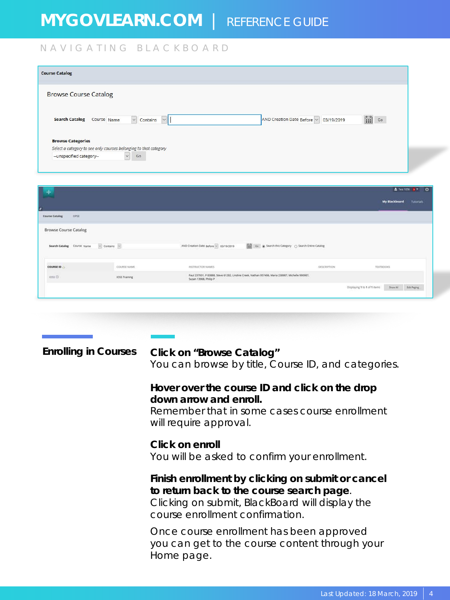### NAVIGATING BLACKBOARD

| <b>Course Catalog</b>                                                                        |                                                                                                |
|----------------------------------------------------------------------------------------------|------------------------------------------------------------------------------------------------|
| <b>Browse Course Catalog</b>                                                                 |                                                                                                |
| <b>Search Catalog</b><br>$\backsim$<br>Course Name<br>Contains<br>$\ddot{\phantom{1}}$       | $\begin{bmatrix} 0 & 0 \\ \hline \end{bmatrix}$<br>AND Creation Date Before v 03/19/2019<br>Go |
| <b>Browse Categories</b><br>Select a category to see only courses belonging to that category |                                                                                                |
| $\checkmark$<br>-- unspecified category--<br>Go                                              |                                                                                                |

| ÷                                     |               |                                                                                                                          |                                                     | & Text 10% 3 * 0                                |                  |
|---------------------------------------|---------------|--------------------------------------------------------------------------------------------------------------------------|-----------------------------------------------------|-------------------------------------------------|------------------|
|                                       |               |                                                                                                                          |                                                     | My Blackboard                                   | <b>Tutorials</b> |
| <b>DPSE</b><br><b>Course Catalog</b>  |               |                                                                                                                          |                                                     |                                                 |                  |
| <b>Browse Course Catalog</b>          |               |                                                                                                                          |                                                     |                                                 |                  |
| Search Catalog Course Name v Contains |               | AND Creation Date Before ~ 03/19/2019                                                                                    | Go @ Search this Category ( ) Search Entire Catalog |                                                 |                  |
| COURSE ID                             | COURSE NAME   | INSTRUCTOR NAMES                                                                                                         | DESCRIPTION.                                        | <b>TEXTBOOKS</b>                                |                  |
| 1055                                  | IOSS Training | Paul 237931, P 83888. Steve 61282, Lindine Creek, Nathan 957406, Maria 238987, Michelle 990987,<br>Susan 13908, Philip P | 아버지는 아이가 아이들이 아이들이 없었다.                             |                                                 |                  |
|                                       |               |                                                                                                                          |                                                     | Displaying 1 to 1 of 1 items<br><b>Show All</b> | Edit Paging      |

| <b>Enrolling in Courses</b> | Click on "Browse Catalog"<br>You can browse by title, Course ID, and categories.                                                                                                     |
|-----------------------------|--------------------------------------------------------------------------------------------------------------------------------------------------------------------------------------|
|                             | Hover over the course ID and click on the drop<br>down arrow and enroll.<br>Remember that in some cases course enrollment<br>will require approval.                                  |
|                             | Click on enroll<br>You will be asked to confirm your enrollment.                                                                                                                     |
|                             | Finish enrollment by clicking on submit or cancel<br>to return back to the course search page.<br>Clicking on submit, BlackBoard will display the<br>course enrollment confirmation. |
|                             | Once course enrollment has been approved<br>you can get to the course content through your<br>Home page.                                                                             |
|                             |                                                                                                                                                                                      |